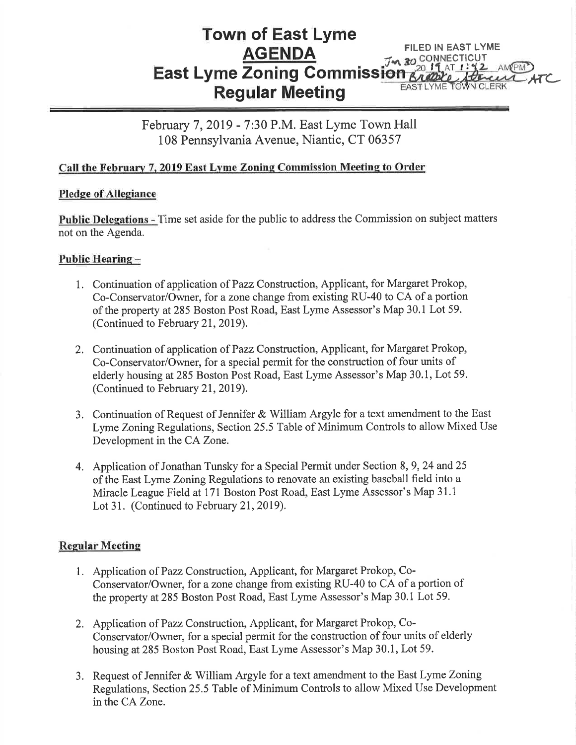#### Town of East Lyme AGENDA East Lyme Zoning Gommiss Regular Meeting FILED IN EAST LYME M 30 CONNECTICUT With HELLERK ATC

February 7, 2019 - 7:30 P.M. East Lyme Town Hall 108 Pennsylvania Avenue, Niantic, CT 06357

# Call the February 7, 2019 East Lyme Zoning Commission Meeting to Order

# Pledge of Allegiance

Public Delegations - Time set aside for the public to address the Commission on subject matters not on the Agenda.

# Public Hearing-

- 1. Continuation of application of Pazz Construction, Applicant, for Margaret Prokop, Co-Conservator/Owner, for a zone change from existing RU-40 to CA of a portion of the property at285 Boston Post Road, East Lyme Assessor's Map 30.1 Lot 59. (Continued to February 21, 2019).
- 2. Continuation of application of Pazz Construction, Applicant, for Margaret Prokop, Co-Conservator/Owner, for a special permit for the construction of four units of elderly housing at285 Boston Post Road, East Lyme Assessor's Map 30.1, Lot 59. (Continued to February 21, 2019).
- 3. Continuation of Request of Jennifer & William Argyle for a text amendment to the East Lyme Zoning Regulations, Section 25.5 Table of Minimum Controls to allow Mixed Use Development in the CA Zone.
- 4. Application of Jonathan Tunsky for a Special Permit under Section 8, 9, 24 and 25 of the East Lyme Zoning Regulations to renovate an existing baseball field into a Miracle League Field at 171 Boston Post Road, East Lyme Assessor's Map 31.1 Lot 31. (Continued to February 21, 2019).

# **Regular Meeting**

- 1. Application of Pazz Construction, Applicant, for Margaret Prokop, Co-Conservator/Owner, for a zone change from existing RU-40 to CA of a portion of the property at285 Boston Post Road, East Lyme Assessor's Map 30.1 Lot 59.
- 2. Application of Pazz Construction, Applicant, for Margaret Prokop, Co-Conservator/Owner, for a special permit for the construction of four units of elderly housing at285 Boston Post Road, East Lyme Assessor's Map 30.1, Lot 59.
- 3. Request of Jennifer & William Argyle for a text amendment to the East Lyme Zoning Regulations, Section 25.5 Table of Minimum Controls to allow Mixed Use Development in the CA Zone.